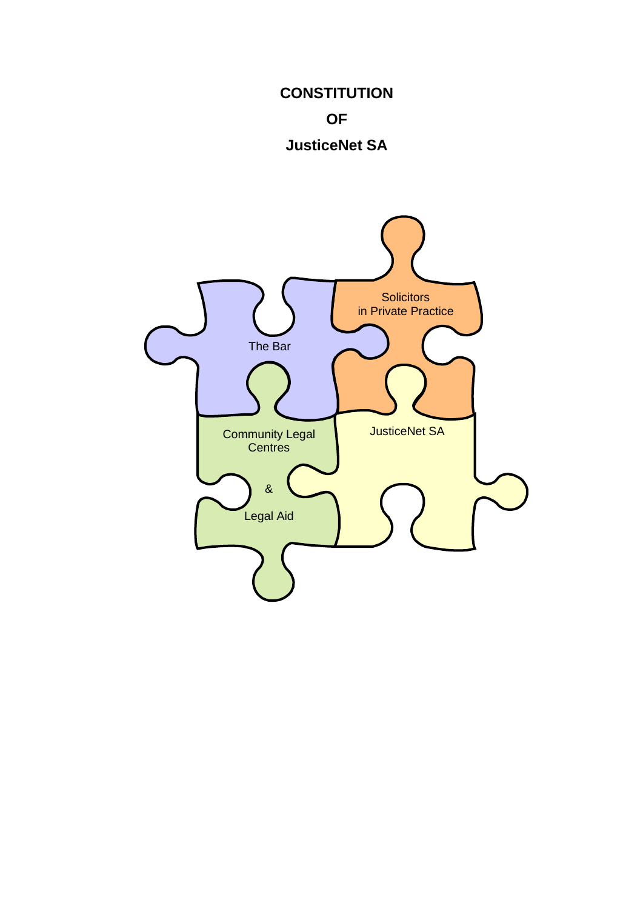# **CONSTITUTION OF JusticeNet SA**

**Solicitors** in Private Practice Community Legal | JusticeNet SA **Centres** & Legal Aid The Bar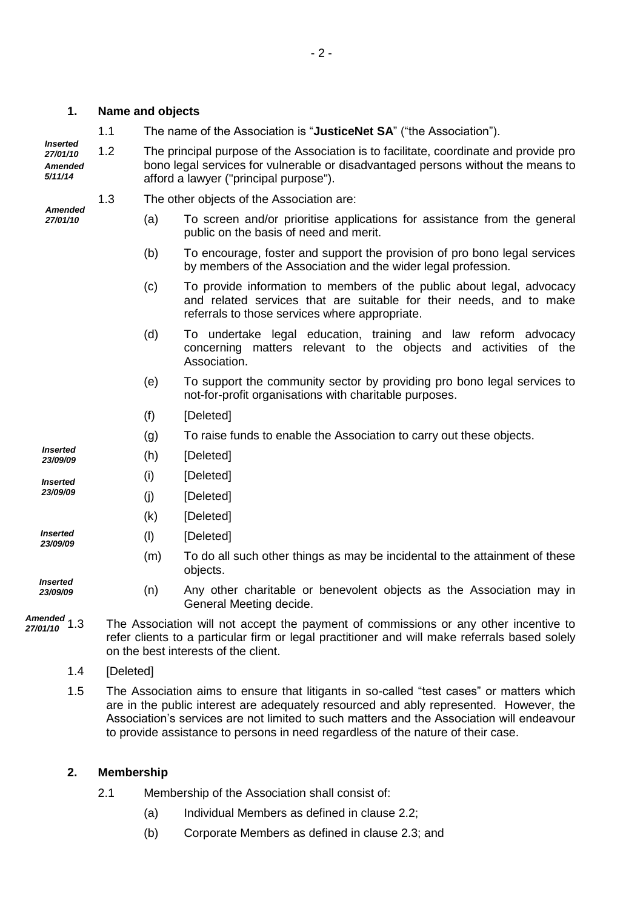| 1.                                                |     | <b>Name and objects</b>                                                                                                                                                                                                       |                                                                                                                                                                                                |  |
|---------------------------------------------------|-----|-------------------------------------------------------------------------------------------------------------------------------------------------------------------------------------------------------------------------------|------------------------------------------------------------------------------------------------------------------------------------------------------------------------------------------------|--|
| <b>Inserted</b><br>27/01/10<br>Amended<br>5/11/14 | 1.1 | The name of the Association is "JusticeNet SA" ("the Association").                                                                                                                                                           |                                                                                                                                                                                                |  |
|                                                   | 1.2 | The principal purpose of the Association is to facilitate, coordinate and provide pro<br>bono legal services for vulnerable or disadvantaged persons without the means to<br>afford a lawyer ("principal purpose").           |                                                                                                                                                                                                |  |
| Amended<br>27/01/10                               | 1.3 | The other objects of the Association are:                                                                                                                                                                                     |                                                                                                                                                                                                |  |
|                                                   |     | (a)                                                                                                                                                                                                                           | To screen and/or prioritise applications for assistance from the general<br>public on the basis of need and merit.                                                                             |  |
|                                                   |     | (b)                                                                                                                                                                                                                           | To encourage, foster and support the provision of pro bono legal services<br>by members of the Association and the wider legal profession.                                                     |  |
|                                                   |     | (c)                                                                                                                                                                                                                           | To provide information to members of the public about legal, advocacy<br>and related services that are suitable for their needs, and to make<br>referrals to those services where appropriate. |  |
|                                                   |     | (d)                                                                                                                                                                                                                           | To undertake legal education, training and law reform advocacy<br>concerning matters relevant to the objects and activities of the<br>Association.                                             |  |
|                                                   |     | (e)                                                                                                                                                                                                                           | To support the community sector by providing pro bono legal services to<br>not-for-profit organisations with charitable purposes.                                                              |  |
|                                                   |     | (f)                                                                                                                                                                                                                           | [Deleted]                                                                                                                                                                                      |  |
|                                                   |     | (g)                                                                                                                                                                                                                           | To raise funds to enable the Association to carry out these objects.                                                                                                                           |  |
| <i><b>Inserted</b></i><br>23/09/09                |     | (h)                                                                                                                                                                                                                           | [Deleted]                                                                                                                                                                                      |  |
| <b>Inserted</b><br>23/09/09                       |     | (i)                                                                                                                                                                                                                           | [Deleted]                                                                                                                                                                                      |  |
|                                                   |     | (i)                                                                                                                                                                                                                           | [Deleted]                                                                                                                                                                                      |  |
|                                                   |     | (k)                                                                                                                                                                                                                           | [Deleted]                                                                                                                                                                                      |  |
| <b>Inserted</b><br>23/09/09                       |     | (1)                                                                                                                                                                                                                           | [Deleted]                                                                                                                                                                                      |  |
|                                                   |     | (m)                                                                                                                                                                                                                           | To do all such other things as may be incidental to the attainment of these<br>objects.                                                                                                        |  |
| <b>Inserted</b><br>23/09/09                       |     | (n)                                                                                                                                                                                                                           | Any other charitable or benevolent objects as the Association may in<br>General Meeting decide.                                                                                                |  |
| Amended $1.3$<br>27/01/10                         |     | The Association will not accept the payment of commissions or any other incentive to<br>refer clients to a particular firm or legal practitioner and will make referrals based solely<br>on the best interests of the client. |                                                                                                                                                                                                |  |
|                                                   |     |                                                                                                                                                                                                                               |                                                                                                                                                                                                |  |

- 1.4 [Deleted]
- 1.5 The Association aims to ensure that litigants in so-called "test cases" or matters which are in the public interest are adequately resourced and ably represented. However, the Association's services are not limited to such matters and the Association will endeavour to provide assistance to persons in need regardless of the nature of their case.

## **2. Membership**

- 2.1 Membership of the Association shall consist of:
	- (a) Individual Members as defined in clause 2.2;
	- (b) Corporate Members as defined in clause 2.3; and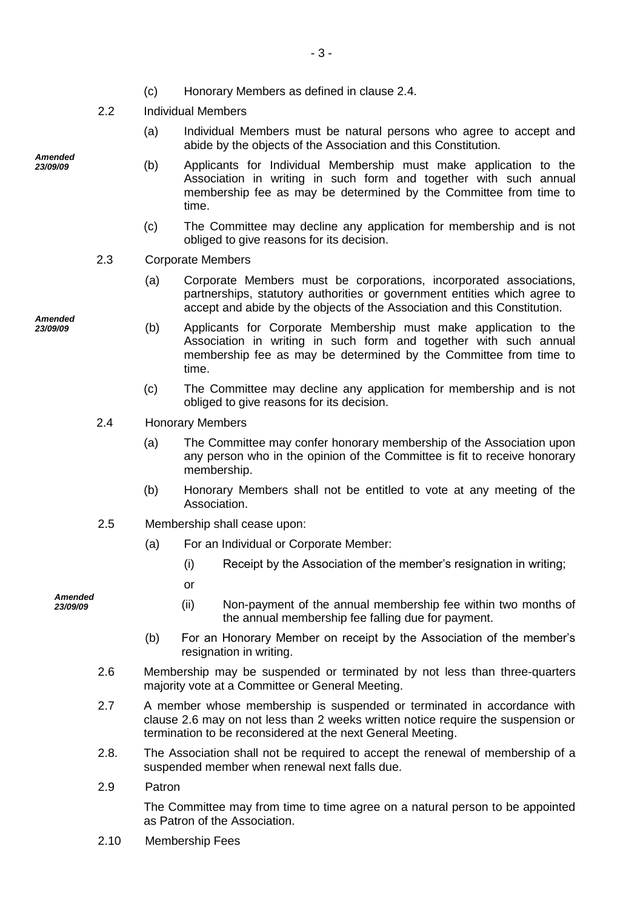- (c) Honorary Members as defined in clause 2.4.
- 2.2 Individual Members
	- (a) Individual Members must be natural persons who agree to accept and abide by the objects of the Association and this Constitution.
	- (b) Applicants for Individual Membership must make application to the Association in writing in such form and together with such annual membership fee as may be determined by the Committee from time to time.
	- (c) The Committee may decline any application for membership and is not obliged to give reasons for its decision.
- 2.3 Corporate Members
	- (a) Corporate Members must be corporations, incorporated associations, partnerships, statutory authorities or government entities which agree to accept and abide by the objects of the Association and this Constitution.
	- (b) Applicants for Corporate Membership must make application to the Association in writing in such form and together with such annual membership fee as may be determined by the Committee from time to time.
	- (c) The Committee may decline any application for membership and is not obliged to give reasons for its decision.
- 2.4 Honorary Members
	- (a) The Committee may confer honorary membership of the Association upon any person who in the opinion of the Committee is fit to receive honorary membership.
	- (b) Honorary Members shall not be entitled to vote at any meeting of the Association.
- 2.5 Membership shall cease upon:
	- (a) For an Individual or Corporate Member:
		- (i) Receipt by the Association of the member's resignation in writing;
		- or
		- (ii) Non-payment of the annual membership fee within two months of the annual membership fee falling due for payment.
	- (b) For an Honorary Member on receipt by the Association of the member's resignation in writing.
- 2.6 Membership may be suspended or terminated by not less than three-quarters majority vote at a Committee or General Meeting.
- 2.7 A member whose membership is suspended or terminated in accordance with clause 2.6 may on not less than 2 weeks written notice require the suspension or termination to be reconsidered at the next General Meeting.
- 2.8. The Association shall not be required to accept the renewal of membership of a suspended member when renewal next falls due.
- 2.9 Patron

The Committee may from time to time agree on a natural person to be appointed as Patron of the Association.

2.10 Membership Fees

*Amended 23/09/09*

*Amended*

*23/09/09*

*Amended 23/09/09*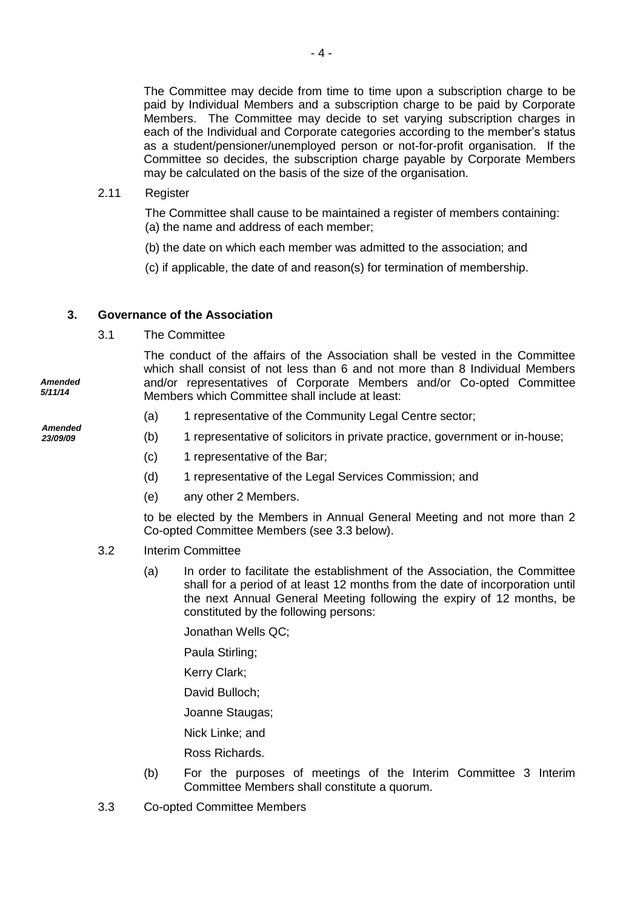The Committee may decide from time to time upon a subscription charge to be paid by Individual Members and a subscription charge to be paid by Corporate Members. The Committee may decide to set varying subscription charges in each of the Individual and Corporate categories according to the member's status as a student/pensioner/unemployed person or not-for-profit organisation. If the Committee so decides, the subscription charge payable by Corporate Members may be calculated on the basis of the size of the organisation.

## 2.11 Register

The Committee shall cause to be maintained a register of members containing: (a) the name and address of each member;

- (b) the date on which each member was admitted to the association; and
- (c) if applicable, the date of and reason(s) for termination of membership.

# **3. Governance of the Association**

3.1 The Committee

The conduct of the affairs of the Association shall be vested in the Committee which shall consist of not less than 6 and not more than 8 Individual Members and/or representatives of Corporate Members and/or Co-opted Committee Members which Committee shall include at least:

- (a) 1 representative of the Community Legal Centre sector;
- (b) 1 representative of solicitors in private practice, government or in-house;
- (c) 1 representative of the Bar;
- (d) 1 representative of the Legal Services Commission; and
- (e) any other 2 Members.

to be elected by the Members in Annual General Meeting and not more than 2 Co-opted Committee Members (see 3.3 below).

- 3.2 Interim Committee
	- (a) In order to facilitate the establishment of the Association, the Committee shall for a period of at least 12 months from the date of incorporation until the next Annual General Meeting following the expiry of 12 months, be constituted by the following persons:

Jonathan Wells QC;

Paula Stirling;

Kerry Clark;

David Bulloch;

Joanne Staugas;

Nick Linke; and

Ross Richards.

- (b) For the purposes of meetings of the Interim Committee 3 Interim Committee Members shall constitute a quorum.
- 3.3 Co-opted Committee Members

*Amended 5/11/14*

*Amended 23/09/09*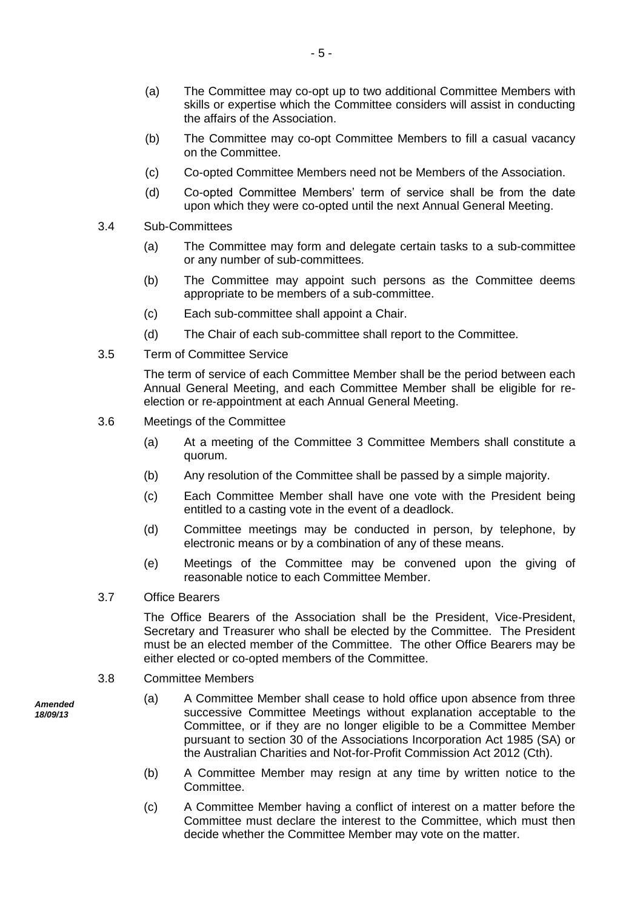- (a) The Committee may co-opt up to two additional Committee Members with skills or expertise which the Committee considers will assist in conducting the affairs of the Association.
- (b) The Committee may co-opt Committee Members to fill a casual vacancy on the Committee.
- (c) Co-opted Committee Members need not be Members of the Association.
- (d) Co-opted Committee Members' term of service shall be from the date upon which they were co-opted until the next Annual General Meeting.
- 3.4 Sub-Committees
	- (a) The Committee may form and delegate certain tasks to a sub-committee or any number of sub-committees.
	- (b) The Committee may appoint such persons as the Committee deems appropriate to be members of a sub-committee.
	- (c) Each sub-committee shall appoint a Chair.
	- (d) The Chair of each sub-committee shall report to the Committee.
- 3.5 Term of Committee Service

The term of service of each Committee Member shall be the period between each Annual General Meeting, and each Committee Member shall be eligible for reelection or re-appointment at each Annual General Meeting.

- 3.6 Meetings of the Committee
	- (a) At a meeting of the Committee 3 Committee Members shall constitute a quorum.
	- (b) Any resolution of the Committee shall be passed by a simple majority.
	- (c) Each Committee Member shall have one vote with the President being entitled to a casting vote in the event of a deadlock.
	- (d) Committee meetings may be conducted in person, by telephone, by electronic means or by a combination of any of these means.
	- (e) Meetings of the Committee may be convened upon the giving of reasonable notice to each Committee Member.
- 3.7 Office Bearers

The Office Bearers of the Association shall be the President, Vice-President, Secretary and Treasurer who shall be elected by the Committee. The President must be an elected member of the Committee. The other Office Bearers may be either elected or co-opted members of the Committee.

- 3.8 Committee Members
- *Amended 18/09/13*
- (a) A Committee Member shall cease to hold office upon absence from three successive Committee Meetings without explanation acceptable to the Committee, or if they are no longer eligible to be a Committee Member pursuant to section 30 of the Associations Incorporation Act 1985 (SA) or the Australian Charities and Not-for-Profit Commission Act 2012 (Cth).
- (b) A Committee Member may resign at any time by written notice to the Committee.
- (c) A Committee Member having a conflict of interest on a matter before the Committee must declare the interest to the Committee, which must then decide whether the Committee Member may vote on the matter.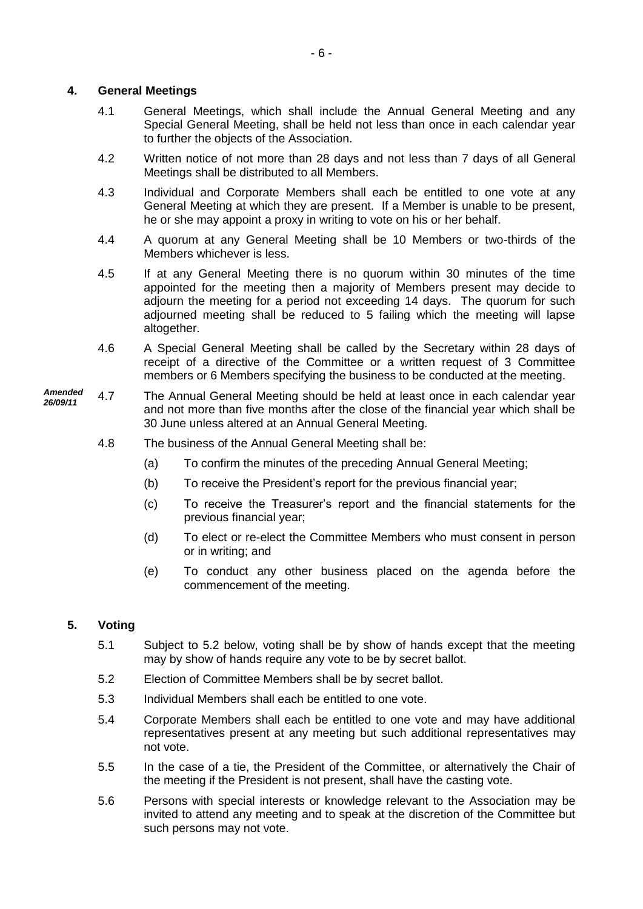# **4. General Meetings**

- 4.1 General Meetings, which shall include the Annual General Meeting and any Special General Meeting, shall be held not less than once in each calendar year to further the objects of the Association.
- 4.2 Written notice of not more than 28 days and not less than 7 days of all General Meetings shall be distributed to all Members.
- 4.3 Individual and Corporate Members shall each be entitled to one vote at any General Meeting at which they are present. If a Member is unable to be present, he or she may appoint a proxy in writing to vote on his or her behalf.
- 4.4 A quorum at any General Meeting shall be 10 Members or two-thirds of the Members whichever is less.
- 4.5 If at any General Meeting there is no quorum within 30 minutes of the time appointed for the meeting then a majority of Members present may decide to adjourn the meeting for a period not exceeding 14 days. The quorum for such adjourned meeting shall be reduced to 5 failing which the meeting will lapse altogether.
- 4.6 A Special General Meeting shall be called by the Secretary within 28 days of receipt of a directive of the Committee or a written request of 3 Committee members or 6 Members specifying the business to be conducted at the meeting.
- 4.7 The Annual General Meeting should be held at least once in each calendar year and not more than five months after the close of the financial year which shall be 30 June unless altered at an Annual General Meeting. *Amended 26/09/11*
	- 4.8 The business of the Annual General Meeting shall be:
		- (a) To confirm the minutes of the preceding Annual General Meeting;
		- (b) To receive the President's report for the previous financial year;
		- (c) To receive the Treasurer's report and the financial statements for the previous financial year;
		- (d) To elect or re-elect the Committee Members who must consent in person or in writing; and
		- (e) To conduct any other business placed on the agenda before the commencement of the meeting.

# **5. Voting**

- 5.1 Subject to 5.2 below, voting shall be by show of hands except that the meeting may by show of hands require any vote to be by secret ballot.
- 5.2 Election of Committee Members shall be by secret ballot.
- 5.3 Individual Members shall each be entitled to one vote.
- 5.4 Corporate Members shall each be entitled to one vote and may have additional representatives present at any meeting but such additional representatives may not vote.
- 5.5 In the case of a tie, the President of the Committee, or alternatively the Chair of the meeting if the President is not present, shall have the casting vote.
- 5.6 Persons with special interests or knowledge relevant to the Association may be invited to attend any meeting and to speak at the discretion of the Committee but such persons may not vote.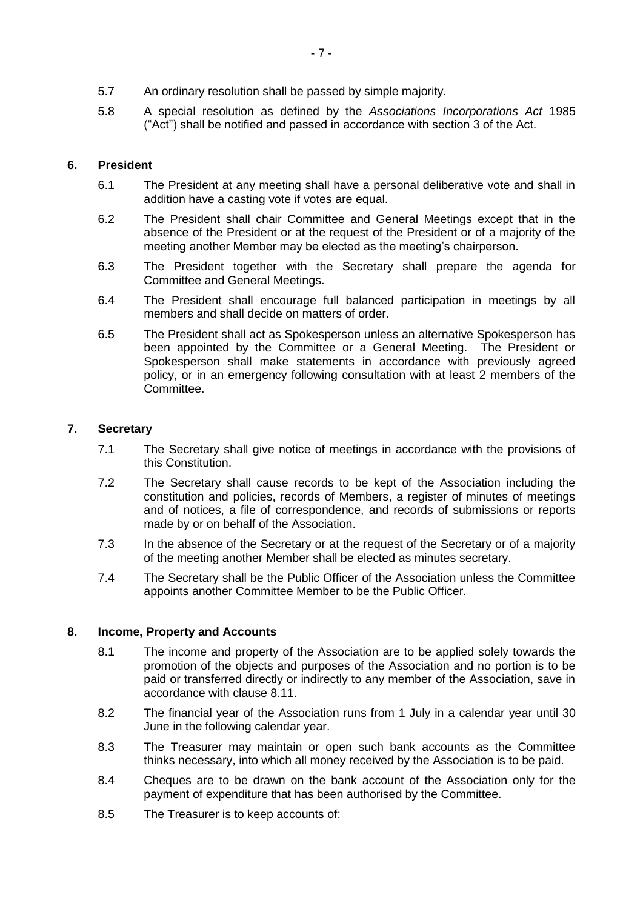- 5.7 An ordinary resolution shall be passed by simple majority.
- 5.8 A special resolution as defined by the *Associations Incorporations Act* 1985 ("Act") shall be notified and passed in accordance with section 3 of the Act.

# **6. President**

- 6.1 The President at any meeting shall have a personal deliberative vote and shall in addition have a casting vote if votes are equal.
- 6.2 The President shall chair Committee and General Meetings except that in the absence of the President or at the request of the President or of a majority of the meeting another Member may be elected as the meeting's chairperson.
- 6.3 The President together with the Secretary shall prepare the agenda for Committee and General Meetings.
- 6.4 The President shall encourage full balanced participation in meetings by all members and shall decide on matters of order.
- 6.5 The President shall act as Spokesperson unless an alternative Spokesperson has been appointed by the Committee or a General Meeting. The President or Spokesperson shall make statements in accordance with previously agreed policy, or in an emergency following consultation with at least 2 members of the Committee.

## **7. Secretary**

- 7.1 The Secretary shall give notice of meetings in accordance with the provisions of this Constitution.
- 7.2 The Secretary shall cause records to be kept of the Association including the constitution and policies, records of Members, a register of minutes of meetings and of notices, a file of correspondence, and records of submissions or reports made by or on behalf of the Association.
- 7.3 In the absence of the Secretary or at the request of the Secretary or of a majority of the meeting another Member shall be elected as minutes secretary.
- 7.4 The Secretary shall be the Public Officer of the Association unless the Committee appoints another Committee Member to be the Public Officer.

## **8. Income, Property and Accounts**

- 8.1 The income and property of the Association are to be applied solely towards the promotion of the objects and purposes of the Association and no portion is to be paid or transferred directly or indirectly to any member of the Association, save in accordance with clause 8.11.
- 8.2 The financial year of the Association runs from 1 July in a calendar year until 30 June in the following calendar year.
- 8.3 The Treasurer may maintain or open such bank accounts as the Committee thinks necessary, into which all money received by the Association is to be paid.
- 8.4 Cheques are to be drawn on the bank account of the Association only for the payment of expenditure that has been authorised by the Committee.
- 8.5 The Treasurer is to keep accounts of: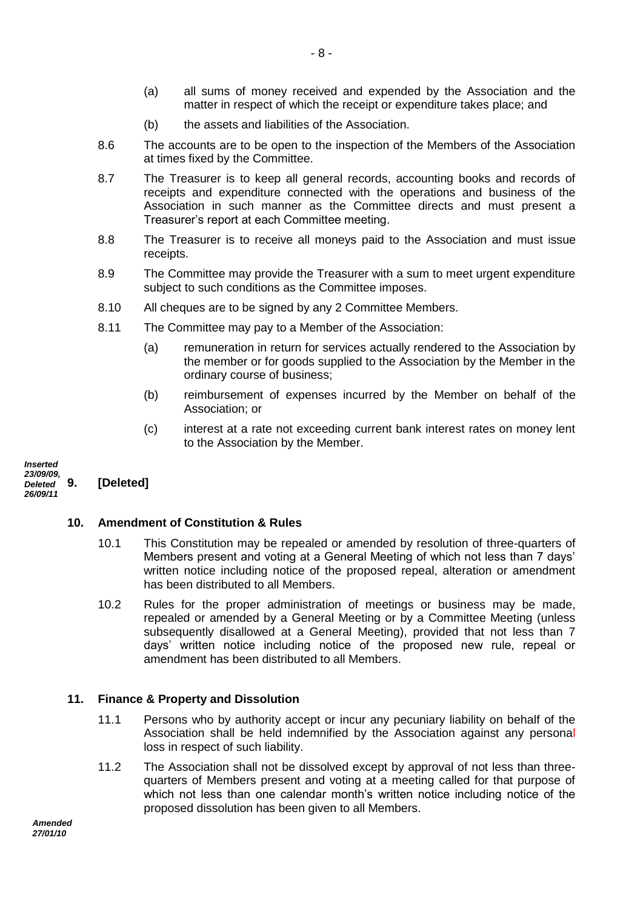- (a) all sums of money received and expended by the Association and the matter in respect of which the receipt or expenditure takes place; and
- (b) the assets and liabilities of the Association.
- 8.6 The accounts are to be open to the inspection of the Members of the Association at times fixed by the Committee.
- 8.7 The Treasurer is to keep all general records, accounting books and records of receipts and expenditure connected with the operations and business of the Association in such manner as the Committee directs and must present a Treasurer's report at each Committee meeting.
- 8.8 The Treasurer is to receive all moneys paid to the Association and must issue receipts.
- 8.9 The Committee may provide the Treasurer with a sum to meet urgent expenditure subject to such conditions as the Committee imposes.
- 8.10 All cheques are to be signed by any 2 Committee Members.
- 8.11 The Committee may pay to a Member of the Association:
	- (a) remuneration in return for services actually rendered to the Association by the member or for goods supplied to the Association by the Member in the ordinary course of business;
	- (b) reimbursement of expenses incurred by the Member on behalf of the Association; or
	- (c) interest at a rate not exceeding current bank interest rates on money lent to the Association by the Member.

**9. [Deleted]** *Inserted 23/09/09, Deleted 26/09/11*

## **10. Amendment of Constitution & Rules**

- 10.1 This Constitution may be repealed or amended by resolution of three-quarters of Members present and voting at a General Meeting of which not less than 7 days' written notice including notice of the proposed repeal, alteration or amendment has been distributed to all Members.
- 10.2 Rules for the proper administration of meetings or business may be made, repealed or amended by a General Meeting or by a Committee Meeting (unless subsequently disallowed at a General Meeting), provided that not less than 7 days' written notice including notice of the proposed new rule, repeal or amendment has been distributed to all Members.

## **11. Finance & Property and Dissolution**

- 11.1 Persons who by authority accept or incur any pecuniary liability on behalf of the Association shall be held indemnified by the Association against any personal loss in respect of such liability.
- 11.2 The Association shall not be dissolved except by approval of not less than threequarters of Members present and voting at a meeting called for that purpose of which not less than one calendar month's written notice including notice of the proposed dissolution has been given to all Members.